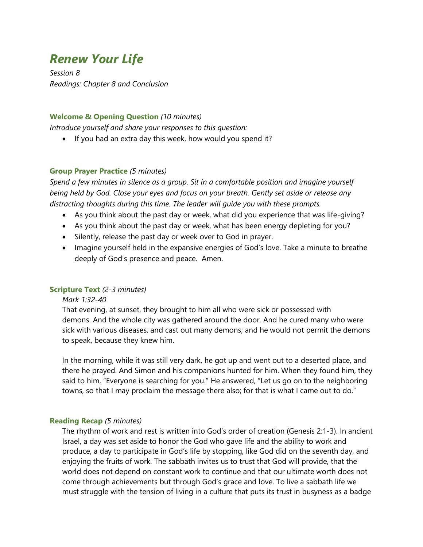# *Renew Your Life*

*Session 8 Readings: Chapter 8 and Conclusion*

#### **Welcome & Opening Question** *(10 minutes)*

*Introduce yourself and share your responses to this question:*

• If you had an extra day this week, how would you spend it?

#### **Group Prayer Practice** *(5 minutes)*

*Spend a few minutes in silence as a group. Sit in a comfortable position and imagine yourself being held by God. Close your eyes and focus on your breath. Gently set aside or release any distracting thoughts during this time. The leader will guide you with these prompts.*

- As you think about the past day or week, what did you experience that was life-giving?
- As you think about the past day or week, what has been energy depleting for you?
- Silently, release the past day or week over to God in prayer.
- Imagine yourself held in the expansive energies of God's love. Take a minute to breathe deeply of God's presence and peace. Amen.

#### **Scripture Text** *(2-3 minutes)*

#### *Mark 1:32-40*

That evening, at sunset, they brought to him all who were sick or possessed with demons. And the whole city was gathered around the door. And he cured many who were sick with various diseases, and cast out many demons; and he would not permit the demons to speak, because they knew him.

In the morning, while it was still very dark, he got up and went out to a deserted place, and there he prayed. And Simon and his companions hunted for him. When they found him, they said to him, "Everyone is searching for you." He answered, "Let us go on to the neighboring towns, so that I may proclaim the message there also; for that is what I came out to do."

#### **Reading Recap** *(5 minutes)*

The rhythm of work and rest is written into God's order of creation (Genesis 2:1-3). In ancient Israel, a day was set aside to honor the God who gave life and the ability to work and produce, a day to participate in God's life by stopping, like God did on the seventh day, and enjoying the fruits of work. The sabbath invites us to trust that God will provide, that the world does not depend on constant work to continue and that our ultimate worth does not come through achievements but through God's grace and love. To live a sabbath life we must struggle with the tension of living in a culture that puts its trust in busyness as a badge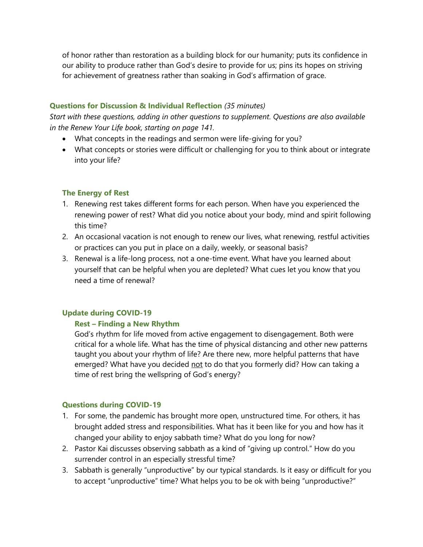of honor rather than restoration as a building block for our humanity; puts its confidence in our ability to produce rather than God's desire to provide for us; pins its hopes on striving for achievement of greatness rather than soaking in God's affirmation of grace.

#### **Questions for Discussion & Individual Reflection** *(35 minutes)*

*Start with these questions, adding in other questions to supplement. Questions are also available in the Renew Your Life book, starting on page 141.*

- What concepts in the readings and sermon were life-giving for you?
- What concepts or stories were difficult or challenging for you to think about or integrate into your life?

## **The Energy of Rest**

- 1. Renewing rest takes different forms for each person. When have you experienced the renewing power of rest? What did you notice about your body, mind and spirit following this time?
- 2. An occasional vacation is not enough to renew our lives, what renewing, restful activities or practices can you put in place on a daily, weekly, or seasonal basis?
- 3. Renewal is a life-long process, not a one-time event. What have you learned about yourself that can be helpful when you are depleted? What cues let you know that you need a time of renewal?

## **Update during COVID-19**

## **Rest – Finding a New Rhythm**

God's rhythm for life moved from active engagement to disengagement. Both were critical for a whole life. What has the time of physical distancing and other new patterns taught you about your rhythm of life? Are there new, more helpful patterns that have emerged? What have you decided not to do that you formerly did? How can taking a time of rest bring the wellspring of God's energy?

## **Questions during COVID-19**

- 1. For some, the pandemic has brought more open, unstructured time. For others, it has brought added stress and responsibilities. What has it been like for you and how has it changed your ability to enjoy sabbath time? What do you long for now?
- 2. Pastor Kai discusses observing sabbath as a kind of "giving up control." How do you surrender control in an especially stressful time?
- 3. Sabbath is generally "unproductive" by our typical standards. Is it easy or difficult for you to accept "unproductive" time? What helps you to be ok with being "unproductive?"